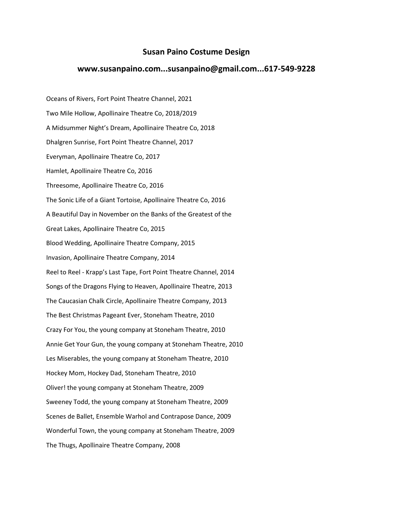## **Susan Paino Costume Design**

## **www.susanpaino.com...susanpaino@gmail.com...617-549-9228**

Oceans of Rivers, Fort Point Theatre Channel, 2021 Two Mile Hollow, Apollinaire Theatre Co, 2018/2019 A Midsummer Night's Dream, Apollinaire Theatre Co, 2018 Dhalgren Sunrise, Fort Point Theatre Channel, 2017 Everyman, Apollinaire Theatre Co, 2017 Hamlet, Apollinaire Theatre Co, 2016 Threesome, Apollinaire Theatre Co, 2016 The Sonic Life of a Giant Tortoise, Apollinaire Theatre Co, 2016 A Beautiful Day in November on the Banks of the Greatest of the Great Lakes, Apollinaire Theatre Co, 2015 Blood Wedding, Apollinaire Theatre Company, 2015 Invasion, Apollinaire Theatre Company, 2014 Reel to Reel - Krapp's Last Tape, Fort Point Theatre Channel, 2014 Songs of the Dragons Flying to Heaven, Apollinaire Theatre, 2013 The Caucasian Chalk Circle, Apollinaire Theatre Company, 2013 The Best Christmas Pageant Ever, Stoneham Theatre, 2010 Crazy For You, the young company at Stoneham Theatre, 2010 Annie Get Your Gun, the young company at Stoneham Theatre, 2010 Les Miserables, the young company at Stoneham Theatre, 2010 Hockey Mom, Hockey Dad, Stoneham Theatre, 2010 Oliver! the young company at Stoneham Theatre, 2009 Sweeney Todd, the young company at Stoneham Theatre, 2009 Scenes de Ballet, Ensemble Warhol and Contrapose Dance, 2009 Wonderful Town, the young company at Stoneham Theatre, 2009 The Thugs, Apollinaire Theatre Company, 2008